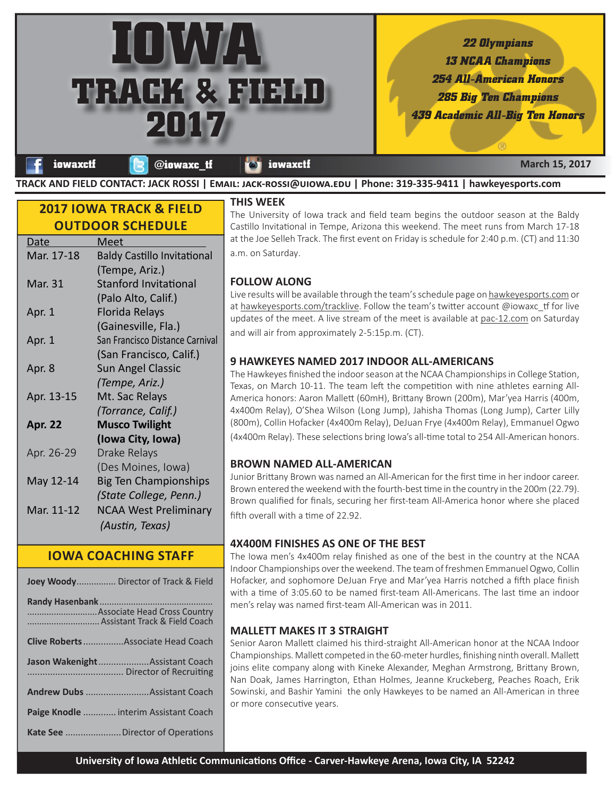*22 Olympians 13 NCAA Champions 254 All-American Honors*

*285 Big Ten Champions*

*439 Academic All-Big Ten Honors*

| f iowaxctf & @iowaxc_tf & iowaxctf | <b>March 15, 2017</b>                                                                                       |
|------------------------------------|-------------------------------------------------------------------------------------------------------------|
|                                    | TRACK AND FIELD CONTACT: JACK ROSSI   EMAIL: JACK-ROSSI@UIOWA.EDU   Phone: 319-335-9411   hawkeyesports.com |

# **2017 IOWA TRACK & FIELD OUTDOOR SCHEDULE**

**IOWA** 

**2017**

**TRACK & FIELD**

| <u>Date</u>    | Meet                               |
|----------------|------------------------------------|
| Mar. 17-18     | <b>Baldy Castillo Invitational</b> |
|                | (Tempe, Ariz.)                     |
| Mar. 31        | <b>Stanford Invitational</b>       |
|                | (Palo Alto, Calif.)                |
| Apr. 1         | <b>Florida Relays</b>              |
|                | (Gainesville, Fla.)                |
| Apr. 1         | San Francisco Distance Carnival    |
|                | (San Francisco, Calif.)            |
| Apr. 8         | <b>Sun Angel Classic</b>           |
|                | (Tempe, Ariz.)                     |
| Apr. 13-15     | Mt. Sac Relays                     |
|                | (Torrance, Calif.)                 |
| <b>Apr. 22</b> | <b>Musco Twilight</b>              |
|                | (Iowa City, Iowa)                  |
| Apr. 26-29     | Drake Relays                       |
|                | (Des Moines, Iowa)                 |
| May 12-14      | <b>Big Ten Championships</b>       |
|                | (State College, Penn.)             |
| Mar. 11-12     | <b>NCAA West Preliminary</b>       |
|                | (Austin, Texas)                    |
|                |                                    |

# **IOWA COACHING STAFF**

| <b>Joey Woody</b> Director of Track & Field |
|---------------------------------------------|
| Assistant Track & Field Coach               |
| <b>Clive Roberts</b> Associate Head Coach   |
| Jason WakenightAssistant Coach              |
|                                             |
| Paige Knodle  interim Assistant Coach       |
|                                             |

#### **THIS WEEK**

The University of Iowa track and field team begins the outdoor season at the Baldy Castillo Invitational in Tempe, Arizona this weekend. The meet runs from March 17-18 at the Joe Selleh Track. The first event on Friday is schedule for 2:40 p.m. (CT) and 11:30 a.m. on Saturday.

## **FOLLOW ALONG**

Live results will be available through the team's schedule page on hawkeyesports.com or at hawkeyesports.com/tracklive. Follow the team's twitter account  $@$  iowaxc\_tf for live updates of the meet. A live stream of the meet is available at pac-12.com on Saturday and will air from approximately 2-5:15p.m. (CT).

### **9 HAWKEYES NAMED 2017 INDOOR ALL-AMERICANS**

The Hawkeyes finished the indoor season at the NCAA Championships in College Station, Texas, on March 10-11. The team left the competition with nine athletes earning All-America honors: Aaron Mallett (60mH), Brittany Brown (200m), Mar'yea Harris (400m, 4x400m Relay), O'Shea Wilson (Long Jump), Jahisha Thomas (Long Jump), Carter Lilly (800m), Collin Hofacker (4x400m Relay), DeJuan Frye (4x400m Relay), Emmanuel Ogwo (4x400m Relay). These selections bring Iowa's all-time total to 254 All-American honors.

### **BROWN NAMED ALL-AMERICAN**

Junior Brittany Brown was named an All-American for the first time in her indoor career. Brown entered the weekend with the fourth-best time in the country in the 200m (22.79). Brown qualified for finals, securing her first-team All-America honor where she placed fifth overall with a time of 22.92.

## **4X400M FINISHES AS ONE OF THE BEST**

The Iowa men's 4x400m relay finished as one of the best in the country at the NCAA Indoor Championships over the weekend. The team of freshmen Emmanuel Ogwo, Collin Hofacker, and sophomore DeJuan Frye and Mar'yea Harris notched a fifth place finish with a time of 3:05.60 to be named first-team All-Americans. The last time an indoor men's relay was named first-team All-American was in 2011.

### **MALLETT MAKES IT 3 STRAIGHT**

Senior Aaron Mallett claimed his third-straight All-American honor at the NCAA Indoor Championships. Mallett competed in the 60-meter hurdles, finishing ninth overall. Mallett joins elite company along with Kineke Alexander, Meghan Armstrong, Brittany Brown, Nan Doak, James Harrington, Ethan Holmes, Jeanne Kruckeberg, Peaches Roach, Erik Sowinski, and Bashir Yamini the only Hawkeyes to be named an All-American in three or more consecutive years.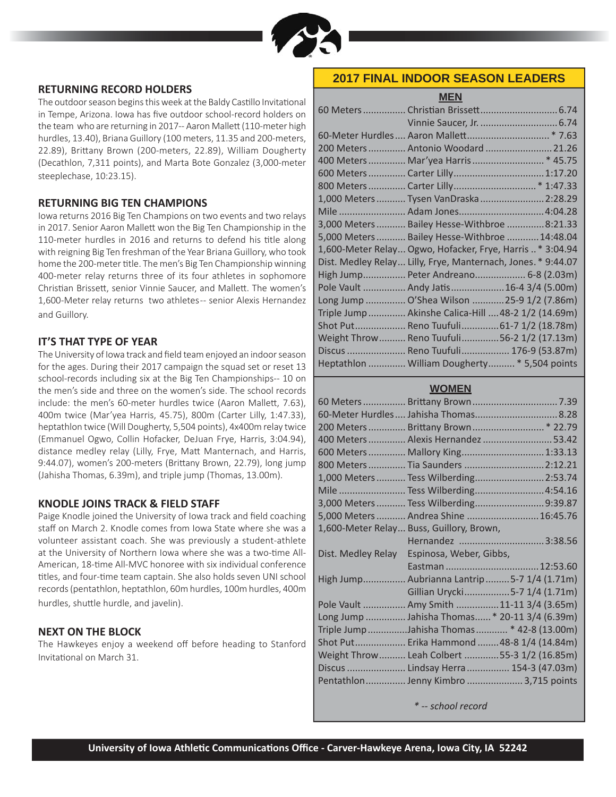

#### **RETURNING RECORD HOLDERS**

The outdoor season begins this week at the Baldy Castillo Invitational in Tempe, Arizona. Iowa has five outdoor school-record holders on the team who are returning in 2017-- Aaron Mallett (110-meter high hurdles, 13.40), Briana Guillory (100 meters, 11.35 and 200-meters, 22.89), Brittany Brown (200-meters, 22.89), William Dougherty (Decathlon, 7,311 points), and Marta Bote Gonzalez (3,000-meter steeplechase, 10:23.15).

#### **RETURNING BIG TEN CHAMPIONS**

Iowa returns 2016 Big Ten Champions on two events and two relays in 2017. Senior Aaron Mallett won the Big Ten Championship in the 110-meter hurdles in 2016 and returns to defend his title along with reigning Big Ten freshman of the Year Briana Guillory, who took home the 200-meter title. The men's Big Ten Championship winning 400-meter relay returns three of its four athletes in sophomore Christian Brissett, senior Vinnie Saucer, and Mallett. The women's 1,600-Meter relay returns two athletes -- senior Alexis Hernandez and Guillory.

#### **IT'S THAT TYPE OF YEAR**

The University of Iowa track and field team enjoyed an indoor season for the ages. During their 2017 campaign the squad set or reset 13 school-records including six at the Big Ten Championships-- 10 on the men's side and three on the women's side. The school records include: the men's 60-meter hurdles twice (Aaron Mallett, 7.63), 400m twice (Mar'yea Harris, 45.75), 800m (Carter Lilly, 1:47.33), heptathlon twice (Will Dougherty, 5,504 points), 4x400m relay twice (Emmanuel Ogwo, Collin Hofacker, DeJuan Frye, Harris, 3:04.94), distance medley relay (Lilly, Frye, Matt Manternach, and Harris, 9:44.07), women's 200-meters (Brittany Brown, 22.79), long jump (Jahisha Thomas, 6.39m), and triple jump (Thomas, 13.00m).

#### **KNODLE JOINS TRACK & FIELD STAFF**

Paige Knodle joined the University of Iowa track and field coaching staff on March 2. Knodle comes from Iowa State where she was a volunteer assistant coach. She was previously a student-athlete at the University of Northern Iowa where she was a two-time All-American, 18-time All-MVC honoree with six individual conference titles, and four-time team captain. She also holds seven UNI school records (pentathlon, heptathlon, 60m hurdles, 100m hurdles, 400m hurdles, shuttle hurdle, and javelin).

#### **NEXT ON THE BLOCK**

The Hawkeyes enjoy a weekend off before heading to Stanford Invitational on March 31.

### **2017 FINAL INDOOR SEASON LEADERS**

**MEN**

| 200 Meters  Antonio Woodard  21.26                           |  |
|--------------------------------------------------------------|--|
| 400 Meters  Mar'yea Harris  * 45.75                          |  |
|                                                              |  |
|                                                              |  |
| 1,000 Meters  Tysen VanDraska  2:28.29                       |  |
| Mile  Adam Jones 4:04.28                                     |  |
| 3,000 Meters  Bailey Hesse-Withbroe  8:21.33                 |  |
| 5,000 Meters  Bailey Hesse-Withbroe  14:48.04                |  |
| 1,600-Meter Relay Ogwo, Hofacker, Frye, Harris* 3:04.94      |  |
| Dist. Medley Relay Lilly, Frye, Manternach, Jones. * 9:44.07 |  |
| High Jump Peter Andreano 6-8 (2.03m)                         |  |
| Pole Vault  Andy Jatis  16-4 3/4 (5.00m)                     |  |
| Long Jump  O'Shea Wilson  25-9 1/2 (7.86m)                   |  |
| Triple Jump  Akinshe Calica-Hill  48-2 1/2 (14.69m)          |  |
| Shot Put Reno Tuufuli 61-7 1/2 (18.78m)                      |  |
| Weight Throw  Reno Tuufuli  56-2 1/2 (17.13m)                |  |
| Discus  Reno Tuufuli 176-9 (53.87m)                          |  |
| Heptathlon  William Dougherty  * 5,504 points                |  |

#### **WOMEN**

|                                       | 60-Meter Hurdles  Jahisha Thomas  8.28        |  |
|---------------------------------------|-----------------------------------------------|--|
|                                       |                                               |  |
|                                       | 400 Meters  Alexis Hernandez  53.42           |  |
|                                       | 600 Meters  Mallory King 1:33.13              |  |
|                                       | 800 Meters  Tia Saunders  2:12.21             |  |
|                                       | 1,000 Meters  Tess Wilberding 2:53.74         |  |
|                                       | Mile  Tess Wilberding 4:54.16                 |  |
|                                       | 3,000 Meters  Tess Wilberding9:39.87          |  |
|                                       | 5,000 Meters  Andrea Shine  16:45.76          |  |
|                                       | 1,600-Meter Relay Buss, Guillory, Brown,      |  |
|                                       | Hernandez 3:38.56                             |  |
| Dist. Medley Relay                    | Espinosa, Weber, Gibbs,                       |  |
|                                       |                                               |  |
|                                       | High Jump Aubrianna Lantrip5-7 1/4 (1.71m)    |  |
|                                       | Gillian Urycki5-7 1/4 (1.71m)                 |  |
|                                       | Pole Vault  Amy Smith 11-11 3/4 (3.65m)       |  |
|                                       | Long Jump  Jahisha Thomas * 20-11 3/4 (6.39m) |  |
|                                       | Triple Jump Jahisha Thomas  * 42-8 (13.00m)   |  |
|                                       | Shot Put Erika Hammond  48-8 1/4 (14.84m)     |  |
|                                       | Weight Throw Leah Colbert 55-3 1/2 (16.85m)   |  |
|                                       | Discus  Lindsay Herra  154-3 (47.03m)         |  |
| Pentathlon Jenny Kimbro  3,715 points |                                               |  |

*\* -- school record*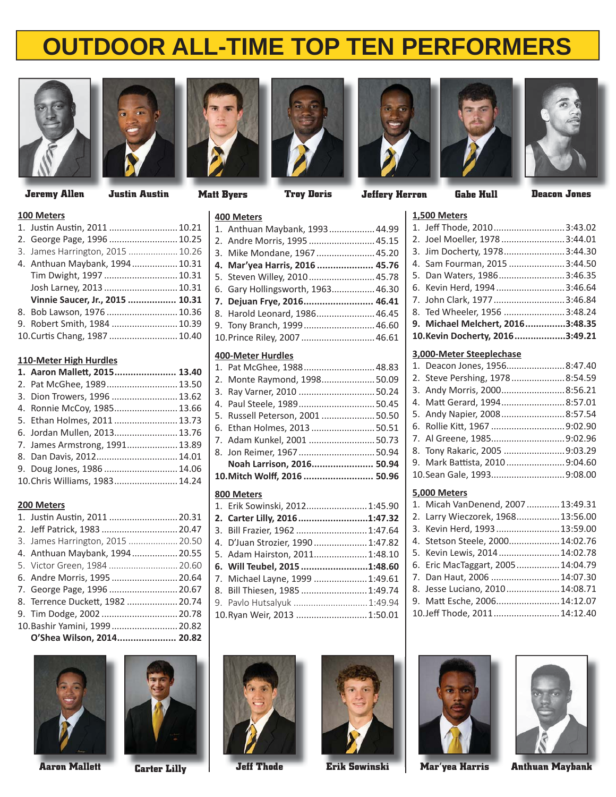



**Jeremy Allen Gabe Hull Deacon Jones Justin Austin Matt Byers Troy Doris Jeffery Herron**









**1,500 Meters**



#### **100 Meters**

| TAN INCICIO                      |  |
|----------------------------------|--|
| 1. Justin Austin, 2011  10.21    |  |
| 2. George Page, 1996  10.25      |  |
| 3. James Harrington, 2015  10.26 |  |
| 4. Anthuan Maybank, 1994 10.31   |  |
| Tim Dwight, 1997  10.31          |  |
| Josh Larney, 2013  10.31         |  |
| Vinnie Saucer, Jr., 2015  10.31  |  |
| 8. Bob Lawson, 1976  10.36       |  |
| 9. Robert Smith, 1984  10.39     |  |
| 10. Curtis Chang, 1987  10.40    |  |
|                                  |  |

#### **110-Meter High Hurdles**

| 1. Aaron Mallett, 2015 13.40   |  |
|--------------------------------|--|
| 2. Pat McGhee, 1989 13.50      |  |
| 3. Dion Trowers, 1996  13.62   |  |
| 4. Ronnie McCoy, 1985 13.66    |  |
| 5. Ethan Holmes, 2011 13.73    |  |
| 6. Jordan Mullen, 2013 13.76   |  |
| 7. James Armstrong, 1991 13.89 |  |
| 8. Dan Davis, 2012 14.01       |  |
| 9. Doug Jones, 1986 14.06      |  |
| 10. Chris Williams, 1983 14.24 |  |
|                                |  |

#### **200 Meters**

| 1. Justin Austin, 2011  20.31    |  |
|----------------------------------|--|
| 2. Jeff Patrick, 1983  20.47     |  |
| 3. James Harrington, 2015  20.50 |  |
| 4. Anthuan Maybank, 1994 20.55   |  |
| 5. Victor Green, 1984  20.60     |  |
| 6. Andre Morris, 1995  20.64     |  |
| 7. George Page, 1996  20.67      |  |
| 8. Terrence Duckett, 1982 20.74  |  |
| 9. Tim Dodge, 2002  20.78        |  |
| 10. Bashir Yamini, 1999 20.82    |  |
| O'Shea Wilson, 2014 20.82        |  |





# **400 Meters**

| 400 MELETS                        |  |
|-----------------------------------|--|
| 1. Anthuan Maybank, 1993 44.99    |  |
| 2. Andre Morris, 1995  45.15      |  |
| 3. Mike Mondane, 1967  45.20      |  |
| 4. Mar'yea Harris, 2016  45.76    |  |
| 5. Steven Willey, 2010 45.78      |  |
| 6. Gary Hollingsworth, 1963 46.30 |  |
| 7. Dejuan Frye, 2016 46.41        |  |
|                                   |  |
| 8. Harold Leonard, 1986 46.45     |  |
| 9. Tony Branch, 1999 46.60        |  |
| 10. Prince Riley, 2007  46.61     |  |

### **400-Meter Hurdles**

| 1. Pat McGhee, 1988 48.83        |  |
|----------------------------------|--|
| 2. Monte Raymond, 1998 50.09     |  |
| 3. Ray Varner, 2010  50.24       |  |
| 4. Paul Steele, 198950.45        |  |
| 5. Russell Peterson, 2001  50.50 |  |
| 6. Ethan Holmes, 2013  50.51     |  |
| 7. Adam Kunkel, 2001  50.73      |  |
| 8. Jon Reimer, 1967 50.94        |  |
| Noah Larrison, 2016 50.94        |  |
| 10. Mitch Wolff, 2016  50.96     |  |
|                                  |  |

## **800 Meters**

| 1. Erik Sowinski, 2012 1:45.90    |  |
|-----------------------------------|--|
| 2. Carter Lilly, 20161:47.32      |  |
| 3. Bill Frazier, 1962  1:47.64    |  |
| 4. D'Juan Strozier, 1990  1:47.82 |  |
| 5. Adam Hairston, 2011 1:48.10    |  |
|                                   |  |
| 6. Will Teubel, 2015 1:48.60      |  |
| 7. Michael Layne, 1999  1:49.61   |  |
| 8. Bill Thiesen, 1985  1:49.74    |  |
| 9. Pavlo Hutsalyuk  1:49.94       |  |
| 10. Ryan Weir, 2013  1:50.01      |  |

### 2. Joel Moeller, 1978 .........................3:44.01 3. Jim Docherty, 1978 ........................3:44.30 4. Sam Fourman, 2015 ......................3:44.50 5. Dan Waters, 1986 ..........................3:46.35 6. Kevin Herd, 1994 ...........................3:46.64 7. John Clark, 1977 ............................3:46.84 8. Ted Wheeler, 1956 ........................3:48.24 **9. Michael Melchert, 2016 ...............3:48.35 10. Kevin Docherty, 2016 ...................3:49.21 3,000-Meter Steeplechase**

1. Jeff Thode, 2010 ............................3:43.02

|              | 1. Deacon Jones, 19568:47.40   |  |  |
|--------------|--------------------------------|--|--|
|              | 2. Steve Pershing, 19788:54.59 |  |  |
|              | 3. Andy Morris, 20008:56.21    |  |  |
|              | 4. Matt Gerard, 19948:57.01    |  |  |
|              | 5. Andy Napier, 20088:57.54    |  |  |
|              |                                |  |  |
|              |                                |  |  |
|              | 8. Tony Rakaric, 2005 9:03.29  |  |  |
|              | 9. Mark Battista, 20109:04.60  |  |  |
|              | 10.Sean Gale, 1993 9:08.00     |  |  |
| 5,000 Meters |                                |  |  |

| 1. Micah VanDenend, 2007  13:49.31 |  |
|------------------------------------|--|
| 2. Larry Wieczorek, 1968 13:56.00  |  |
| 3. Kevin Herd, 1993 13:59.00       |  |
| 4. Stetson Steele, 2000 14:02.76   |  |
| 5. Kevin Lewis, 2014 14:02.78      |  |
| 6. Eric MacTaggart, 2005 14:04.79  |  |
| 7. Dan Haut, 2006  14:07.30        |  |
| 8. Jesse Luciano, 2010 14:08.71    |  |
| 9. Matt Esche, 2006 14:12.07       |  |
| 10.Jeff Thode, 2011 14:12.40       |  |





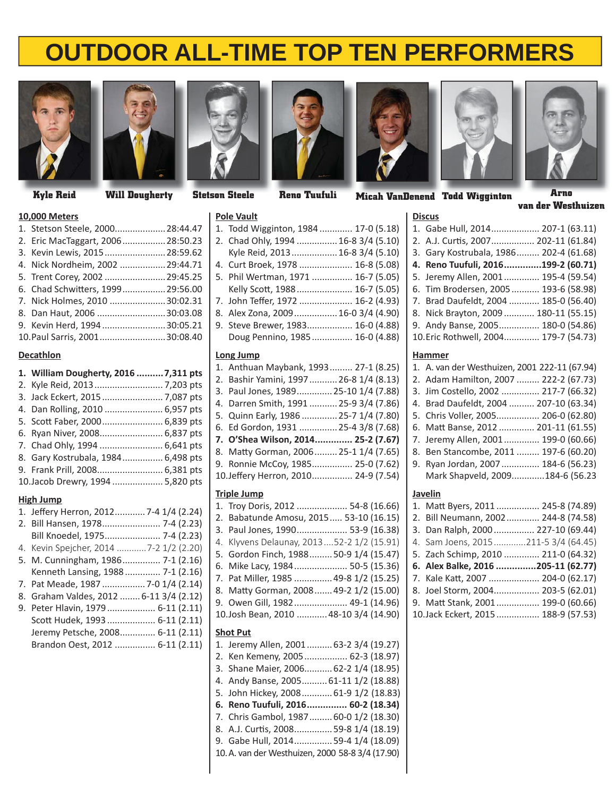



#### **10,000 Meters**

| TANDA INCICIO                     |  |
|-----------------------------------|--|
| 1. Stetson Steele, 2000 28:44.47  |  |
| 2. Eric MacTaggart, 2006 28:50.23 |  |
| 3. Kevin Lewis, 2015 28:59.62     |  |
| 4. Nick Nordheim, 2002  29:44.71  |  |
| 5. Trent Corey, 2002  29:45.25    |  |
| 6. Chad Schwitters, 1999 29:56.00 |  |
| 7. Nick Holmes, 2010 30:02.31     |  |
| 8. Dan Haut, 2006 30:03.08        |  |
| 9. Kevin Herd, 199430:05.21       |  |
| 10. Paul Sarris, 2001 30:08.40    |  |

### **Decathlon**

| 1. William Dougherty, 2016  7,311 pts |  |
|---------------------------------------|--|
|                                       |  |
| 3. Jack Eckert, 2015  7,087 pts       |  |
| 4. Dan Rolling, 2010  6,957 pts       |  |
| 5. Scott Faber, 2000 6,839 pts        |  |
| 6. Ryan Niver, 2008 6,837 pts         |  |
| 7. Chad Ohly, 1994  6,641 pts         |  |
| 8. Gary Kostrubala, 1984 6,498 pts    |  |
| 9. Frank Prill, 2008 6,381 pts        |  |
| 10. Jacob Drewry, 1994  5,820 pts     |  |
|                                       |  |

#### **High Jump**

| 1. Jeffery Herron, 2012 7-4 1/4 (2.24)  |  |
|-----------------------------------------|--|
| 2. Bill Hansen, 1978 7-4 (2.23)         |  |
| Bill Knoedel, 1975 7-4 (2.23)           |  |
| 4. Kevin Spejcher, 2014 7-2 1/2 (2.20)  |  |
| 5. M. Cunningham, 1986 7-1 (2.16)       |  |
| Kenneth Lansing, 1988 7-1 (2.16)        |  |
| 7. Pat Meade, 1987  7-0 1/4 (2.14)      |  |
| 8. Graham Valdes, 2012  6-11 3/4 (2.12) |  |
| 9. Peter Hlavin, 1979 6-11 (2.11)       |  |
| Scott Hudek, 1993  6-11 (2.11)          |  |
| Jeremy Petsche, 2008 6-11 (2.11)        |  |
| Brandon Oest, 2012  6-11 (2.11)         |  |





#### **Pole Vault**

| . on vann                                                                                                                                                                                                                            |  |
|--------------------------------------------------------------------------------------------------------------------------------------------------------------------------------------------------------------------------------------|--|
| 1. Todd Wigginton, 1984  17-0 (5.18)                                                                                                                                                                                                 |  |
| 2. Chad Ohly, 1994  16-8 3/4 (5.10)                                                                                                                                                                                                  |  |
| Kyle Reid, 2013 16-8 3/4 (5.10)                                                                                                                                                                                                      |  |
| 4. Curt Broek, 1978  16-8 (5.08)                                                                                                                                                                                                     |  |
| 5. Phil Wertman, 1971  16-7 (5.05)                                                                                                                                                                                                   |  |
| Kelly Scott, 1988 16-7 (5.05)                                                                                                                                                                                                        |  |
| 7. John Teffer, 1972  16-2 (4.93)                                                                                                                                                                                                    |  |
| 8. Alex Zona, 2009 16-0 3/4 (4.90)                                                                                                                                                                                                   |  |
| 9. Steve Brewer, 1983 16-0 (4.88)                                                                                                                                                                                                    |  |
| Doug Pennino, 1985  16-0 (4.88)                                                                                                                                                                                                      |  |
| $\blacksquare$ . The contract of the contract of the contract of the contract of the contract of the contract of the contract of the contract of the contract of the contract of the contract of the contract of the contract of the |  |

## **Long Jump**

| ----------                              |  |
|-----------------------------------------|--|
| 1. Anthuan Maybank, 1993 27-1 (8.25)    |  |
| 2. Bashir Yamini, 1997  26-8 1/4 (8.13) |  |
| 3. Paul Jones, 1989 25-10 1/4 (7.88)    |  |
| 4. Darren Smith, 1991  25-9 3/4 (7.86)  |  |
| 5. Quinn Early, 1986  25-7 1/4 (7.80)   |  |
| 6. Ed Gordon, 1931  25-4 3/8 (7.68)     |  |
| 7. O'Shea Wilson, 2014 25-2 (7.67)      |  |
| 8. Matty Gorman, 2006 25-1 1/4 (7.65)   |  |
| 9. Ronnie McCoy, 1985 25-0 (7.62)       |  |
| 10.Jeffery Herron, 2010 24-9 (7.54)     |  |
|                                         |  |

# **Triple Jump**

| 1. Troy Doris, 2012  54-8 (16.66)         |  |
|-------------------------------------------|--|
| 2. Babatunde Amosu, 2015 53-10 (16.15)    |  |
| 3. Paul Jones, 1990 53-9 (16.38)          |  |
| 4. Klyvens Delaunay, 201352-2 1/2 (15.91) |  |
| 5. Gordon Finch, 1988 50-9 1/4 (15.47)    |  |
| 6. Mike Lacy, 1984 50-5 (15.36)           |  |
| 7. Pat Miller, 1985  49-8 1/2 (15.25)     |  |
| 8. Matty Gorman, 2008 49-2 1/2 (15.00)    |  |
| 9. Owen Gill, 1982 49-1 (14.96)           |  |
| 10.Josh Bean, 2010  48-10 3/4 (14.90)     |  |
|                                           |  |

#### **Shot Put**

| 1. Jeremy Allen, 2001 63-2 3/4 (19.27)           |  |
|--------------------------------------------------|--|
| 2. Ken Kemeny, 2005 62-3 (18.97)                 |  |
| 3. Shane Maier, 2006 62-2 1/4 (18.95)            |  |
| 4. Andy Banse, 2005 61-11 1/2 (18.88)            |  |
| 5. John Hickey, 2008 61-9 1/2 (18.83)            |  |
|                                                  |  |
| 6. Reno Tuufuli, 2016 60-2 (18.34)               |  |
| 7. Chris Gambol, 1987 60-0 1/2 (18.30)           |  |
| 8. A.J. Curtis, 2008 59-8 1/4 (18.19)            |  |
| 9. Gabe Hull, 201459-4 1/4 (18.09)               |  |
| 10. A. van der Westhuizen, 2000 58-8 3/4 (17.90) |  |





**Todd Wigginton Arno Stetson Steele T dd W Arno Kyle Reid Will Dougherty D h t Reno Tuufuli Micah VanDenend**

**van der Westhuizen**

| <b>Discus</b>                          |  |
|----------------------------------------|--|
| 1. Gabe Hull, 2014 207-1 (63.11)       |  |
| 2. A.J. Curtis, 2007 202-11 (61.84)    |  |
| 3. Gary Kostrubala, 1986 202-4 (61.68) |  |
| 4. Reno Tuufuli, 2016199-2 (60.71)     |  |
| 5. Jeremy Allen, 2001 195-4 (59.54)    |  |
| 6. Tim Brodersen, 2005 193-6 (58.98)   |  |
| 7. Brad Daufeldt, 2004  185-0 (56.40)  |  |
| 8. Nick Brayton, 2009  180-11 (55.15)  |  |
| 9. Andy Banse, 2005 180-0 (54.86)      |  |
| 10. Eric Rothwell, 2004 179-7 (54.73)  |  |
|                                        |  |

#### **Hammer**

| 1. A. van der Westhuizen, 2001 222-11 (67.94) |
|-----------------------------------------------|
| 2. Adam Hamilton, 2007  222-2 (67.73)         |
| 3. Jim Costello, 2002  217-7 (66.32)          |
| Brad Daufeldt, 2004  207-10 (63.34)<br>4.     |
| 5. Chris Voller, 2005 206-0 (62.80)           |
| 6. Matt Banse, 2012  201-11 (61.55)           |
| 7. Jeremy Allen, 2001 199-0 (60.66)           |
| Ben Stancombe, 2011  197-6 (60.20)<br>8.      |
| 9. Ryan Jordan, 2007  184-6 (56.23)           |
| Mark Shapveld, 2009184-6 (56.23               |
| Javelin                                       |
| 1. Matt Byers, 2011  245-8 (74.89)            |
| 2. Bill Neumann, 2002 244-8 (74.58)           |
| 3. Dan Ralph, 2000  227-10 (69.44)            |
| 4. Sam Joens, 2015211-5 3/4 (64.45)           |
| 5. Zach Schimp, 2010  211-0 (64.32)           |
| 6. Alex Balke. 2016 205-11 (62.77)            |

| 0. AIRX DAIKE, 2010 205-11 (62.77) |                 |
|------------------------------------|-----------------|
| 7. Kale Katt, 2007  204-0 (62.17)  |                 |
| 8 Inel Storm 2004                  | $203 - 5(6201)$ |

|  | 0. JUEI JUITII, ZUU4 20J-J (02.01) |  |
|--|------------------------------------|--|
|  | 9. Matt Stank, 2001 199-0 (60.66)  |  |

|  | 10. Jack Eckert, 2015  188-9 (57.53) |
|--|--------------------------------------|
|--|--------------------------------------|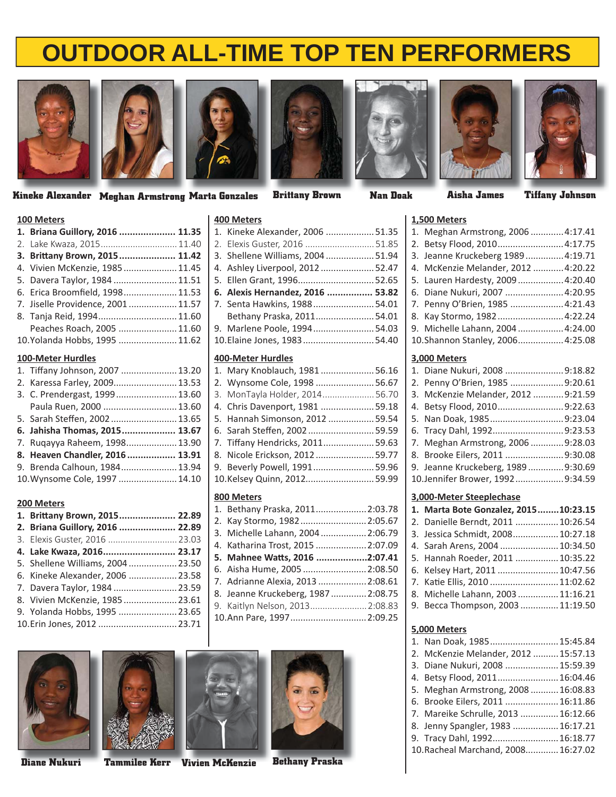











**Kineke Alexander Meghan Armstrong Marta Gonzales Brittany Brown Nan Doak Aisha James Tiffany Johnson**

### **100 Meters**

| TAN INCICIO                      |  |
|----------------------------------|--|
| 1. Briana Guillory, 2016  11.35  |  |
| 2. Lake Kwaza, 2015 11.40        |  |
| 3. Brittany Brown, 2015 11.42    |  |
| 4. Vivien McKenzie, 1985 11.45   |  |
| 5. Davera Taylor, 1984  11.51    |  |
| 6. Erica Broomfield, 199811.53   |  |
| 7. Jiselle Providence, 200111.57 |  |
| 8. Tanja Reid, 1994 11.60        |  |
| Peaches Roach, 2005  11.60       |  |
| 10.Yolanda Hobbs, 1995  11.62    |  |
| <b>100-Meter Hurdles</b>         |  |

| 1. Tiffany Johnson, 2007  13.20 |  |
|---------------------------------|--|
| 2. Karessa Farley, 2009 13.53   |  |
| 3. C. Prendergast, 1999 13.60   |  |
| Paula Ruen, 2000  13.60         |  |
| 5. Sarah Steffen, 2002 13.65    |  |
| 6. Jahisha Thomas, 2015 13.67   |  |
|                                 |  |
| 7. Ruqayya Raheem, 1998 13.90   |  |
| 8. Heaven Chandler, 2016  13.91 |  |
| 9. Brenda Calhoun, 1984 13.94   |  |
| 10. Wynsome Cole, 1997  14.10   |  |

#### **200 Meters**

| 1. Brittany Brown, 2015 22.89     |  |
|-----------------------------------|--|
| 2. Briana Guillory, 2016  22.89   |  |
| 3. Elexis Guster, 2016  23.03     |  |
| 4. Lake Kwaza, 2016 23.17         |  |
| 5. Shellene Williams, 2004  23.50 |  |
| 6. Kineke Alexander, 2006  23.58  |  |
| 7. Davera Taylor, 1984  23.59     |  |
| 8. Vivien McKenzie, 1985 23.61    |  |
| 9. Yolanda Hobbs, 1995  23.65     |  |
| 10.Erin Jones, 2012  23.71        |  |
|                                   |  |

#### **400 Meters**

| T                                |  |
|----------------------------------|--|
| 1. Kineke Alexander, 2006 51.35  |  |
| 2. Elexis Guster, 2016 51.85     |  |
| 3. Shellene Williams, 200451.94  |  |
| 4. Ashley Liverpool, 2012 52.47  |  |
| 5. Ellen Grant, 199652.65        |  |
| 6. Alexis Hernandez, 2016  53.82 |  |
| 7. Senta Hawkins, 198854.01      |  |
| Bethany Praska, 201154.01        |  |
| 9. Marlene Poole, 199454.03      |  |
| 10. Elaine Jones, 1983 54.40     |  |
|                                  |  |

#### **400-Meter Hurdles**

| 1. Mary Knoblauch, 198156.16    |  |
|---------------------------------|--|
| 2. Wynsome Cole, 1998 56.67     |  |
| 3. MonTayla Holder, 201456.70   |  |
| 4. Chris Davenport, 1981  59.18 |  |
| 5. Hannah Simonson, 2012  59.54 |  |
| 6. Sarah Steffen, 200259.59     |  |
| 7. Tiffany Hendricks, 201159.63 |  |
| 8. Nicole Erickson, 201259.77   |  |
| 9. Beverly Powell, 199159.96    |  |
| 10.Kelsey Quinn, 2012 59.99     |  |
|                                 |  |

#### **800 Meters**

| 1. Bethany Praska, 2011 2:03.78    |  |
|------------------------------------|--|
| 2. Kay Stormo, 1982 2:05.67        |  |
| 3. Michelle Lahann, 2004 2:06.79   |  |
| 4. Katharina Trost, 2015  2:07.09  |  |
| 5. Mahnee Watts, 2016 2:07.41      |  |
| 6. Aisha Hume, 2005  2:08.50       |  |
| 7. Adrianne Alexia, 2013  2:08.61  |  |
| 8. Jeanne Kruckeberg, 1987 2:08.75 |  |
| 9. Kaitlyn Nelson, 2013 2:08.83    |  |
| 10.Ann Pare, 1997 2:09.25          |  |









| 1,500 Meters                                     |  |
|--------------------------------------------------|--|
| 1. Meghan Armstrong, 20064:17.41                 |  |
| 2. Betsy Flood, 2010 4:17.75                     |  |
| 3. Jeanne Kruckeberg 1989  4:19.71               |  |
| 4. McKenzie Melander, 2012  4:20.22              |  |
| 5. Lauren Hardesty, 2009  4:20.40                |  |
| 6. Diane Nukuri, 2007  4:20.95                   |  |
| 7. Penny O'Brien, 1985  4:21.43                  |  |
| 8. Kay Stormo, 1982 4:22.24                      |  |
| 9. Michelle Lahann, 2004  4:24.00                |  |
| 10.Shannon Stanley, 2006 4:25.08                 |  |
| 3,000 Meters                                     |  |
| 1. Diane Nukuri, 2008 9:18.82                    |  |
| $\sim$ $\sim$ $\sim$ $\sim$ $\sim$ $\sim$ $\sim$ |  |

| 1. Diane Nukuri, 2008 9:18.82       |  |
|-------------------------------------|--|
| 2. Penny O'Brien, 1985 9:20.61      |  |
| 3. McKenzie Melander, 2012  9:21.59 |  |
| 4. Betsy Flood, 20109:22.63         |  |
| 5. Nan Doak, 19859:23.04            |  |
| 6. Tracy Dahl, 19929:23.53          |  |
| 7. Meghan Armstrong, 2006  9:28.03  |  |
| 8. Brooke Eilers, 2011 9:30.08      |  |
| 9. Jeanne Kruckeberg, 1989 9:30.69  |  |
| 10.Jennifer Brower, 19929:34.59     |  |

#### **3,000-Meter Steeplechase**

| 1. Marta Bote Gonzalez, 201510:23.15 |  |
|--------------------------------------|--|
| 2. Danielle Berndt, 2011  10:26.54   |  |
| 3. Jessica Schmidt, 2008 10:27.18    |  |
| 4. Sarah Arens, 2004  10:34.50       |  |
| 5. Hannah Roeder, 2011  10:35.22     |  |
| 6. Kelsey Hart, 2011  10:47.56       |  |
| 7. Katie Ellis, 2010  11:02.62       |  |
| 8. Michelle Lahann, 2003 11:16.21    |  |
| 9. Becca Thompson, 2003  11:19.50    |  |
|                                      |  |

#### **5,000 Meters**

| 1. Nan Doak, 1985 15:45.84           |  |
|--------------------------------------|--|
| 2. McKenzie Melander, 2012  15:57.13 |  |
| 3. Diane Nukuri, 2008  15:59.39      |  |
| 4. Betsy Flood, 2011 16:04.46        |  |
| 5. Meghan Armstrong, 2008  16:08.83  |  |
| 6. Brooke Eilers, 2011  16:11.86     |  |
| 7. Mareike Schrulle, 2013  16:12.66  |  |
| 8. Jenny Spangler, 1983  16:17.21    |  |
| 9. Tracy Dahl, 1992 16:18.77         |  |
| 10. Racheal Marchand, 2008 16:27.02  |  |
|                                      |  |

**Diane Nukuri Tammilee Kerr Vivien McKenzie V Bethany Praska**

| Nan Doak |  |
|----------|--|
|          |  |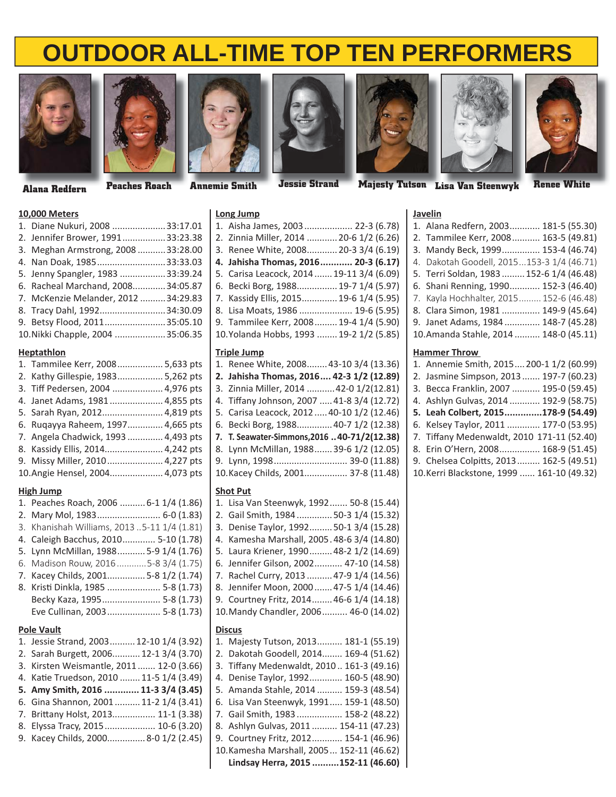



**Jessie Strand**

## **Long Jump**









**Majesty Tutson Lisa Van Steenwyk L Renee White Alana Redfern Peaches Roach Annemie Smith**

## **10,000 Meters**

| 1. Diane Nukuri, 2008 33:17.01       |  |
|--------------------------------------|--|
| 2. Jennifer Brower, 199133:23.38     |  |
| 3. Meghan Armstrong, 2008  33:28.00  |  |
| 4. Nan Doak, 198533:33.03            |  |
| 5. Jenny Spangler, 1983  33:39.24    |  |
| 6. Racheal Marchand, 200834:05.87    |  |
| 7. McKenzie Melander, 2012  34:29.83 |  |
| 8. Tracy Dahl, 199234:30.09          |  |
| 9. Betsy Flood, 201135:05.10         |  |
| 10. Nikki Chapple, 2004  35:06.35    |  |
|                                      |  |

#### **Heptathlon**

| 1. Tammilee Kerr, 2008 5,633 pts    |  |
|-------------------------------------|--|
| 2. Kathy Gillespie, 1983 5,262 pts  |  |
| 3. Tiff Pedersen, 2004  4,976 pts   |  |
| 4. Janet Adams, 1981  4,855 pts     |  |
| 5. Sarah Ryan, 2012 4,819 pts       |  |
| 6. Ruqayya Raheem, 1997 4,665 pts   |  |
| 7. Angela Chadwick, 1993  4,493 pts |  |
| 8. Kassidy Ellis, 2014 4,242 pts    |  |
| 9. Missy Miller, 2010 4,227 pts     |  |
| 10.Angie Hensel, 2004 4,073 pts     |  |

#### **High Jump**

|                   | 1. Peaches Roach, 2006  6-1 1/4 (1.86)                                |  |  |
|-------------------|-----------------------------------------------------------------------|--|--|
| 2.                | Mary Mol, 1983 6-0 (1.83)                                             |  |  |
| 3.                | Khanishah Williams, 20135-11 1/4 (1.81)                               |  |  |
| 4.                | Caleigh Bacchus, 2010 5-10 (1.78)                                     |  |  |
| 5.                | Lynn McMillan, 1988 5-9 1/4 (1.76)                                    |  |  |
| 6.                | Madison Rouw, 2016 5-8 3/4 (1.75)                                     |  |  |
| 7.                | Kacey Childs, 2001 5-8 1/2 (1.74)                                     |  |  |
| 8.                | Kristi Dinkla, 1985  5-8 (1.73)                                       |  |  |
|                   | Becky Kaza, 1995 5-8 (1.73)                                           |  |  |
|                   | Eve Cullinan, 2003 5-8 (1.73)                                         |  |  |
| <b>Pole Vault</b> |                                                                       |  |  |
|                   |                                                                       |  |  |
|                   | 1. Jessie Strand, 2003 12-10 1/4 (3.92)                               |  |  |
|                   | 2. Sarah Burgett, 2006 12-1 3/4 (3.70)                                |  |  |
| 3.                | Kirsten Weismantle, 2011  12-0 (3.66)                                 |  |  |
| 4.                | Katie Truedson, 2010  11-5 1/4 (3.49)                                 |  |  |
| 5.                | Amy Smith, 2016  11-3 3/4 (3.45)                                      |  |  |
| 6.                | Gina Shannon, 2001  11-2 1/4 (3.41)                                   |  |  |
| 7.                | Brittany Holst, 2013 11-1 (3.38)                                      |  |  |
| 8.                |                                                                       |  |  |
|                   | Elyssa Tracy, 2015 10-6 (3.20)<br>9. Kacey Childs, 20008-0 1/2 (2.45) |  |  |
|                   |                                                                       |  |  |

| LUIS JUILLY                               |  |
|-------------------------------------------|--|
| 1. Aisha James, 2003 22-3 (6.78)          |  |
| 2. Zinnia Miller, 2014  20-6 1/2 (6.26)   |  |
| 3. Renee White, 2008 20-3 3/4 (6.19)      |  |
| 4. Jahisha Thomas, 2016 20-3 (6.17)       |  |
| 5. Carisa Leacock, 2014  19-11 3/4 (6.09) |  |
| 6. Becki Borg, 1988 19-7 1/4 (5.97)       |  |
| 7. Kassidy Ellis, 2015 19-6 1/4 (5.95)    |  |
| 8. Lisa Moats, 1986  19-6 (5.95)          |  |
| 9. Tammilee Kerr, 2008 19-4 1/4 (5.90)    |  |
| 10.Yolanda Hobbs, 1993  19-2 1/2 (5.85)   |  |
|                                           |  |

#### **Triple Jump**

| 1. Renee White, 2008 43-10 3/4 (13.36)       |
|----------------------------------------------|
| 2. Jahisha Thomas, 2016 42-3 1/2 (12.89)     |
| 3. Zinnia Miller, 2014  42-0 1/2(12.81)      |
| 4. Tiffany Johnson, 2007  41-8 3/4 (12.72)   |
| 5. Carisa Leacock, 2012  40-10 1/2 (12.46)   |
| 6. Becki Borg, 1988 40-7 1/2 (12.38)         |
| 7. T. Seawater-Simmons, 2016  40-71/2(12.38) |
| 8. Lynn McMillan, 1988 39-6 1/2 (12.05)      |
| 9. Lynn, 1998 39-0 (11.88)                   |
| 10. Kacey Childs, 2001 37-8 (11.48)          |

#### **Shot Put**

| 1. Lisa Van Steenwyk, 1992 50-8 (15.44)    |
|--------------------------------------------|
| 2. Gail Smith, 1984  50-3 1/4 (15.32)      |
| 3. Denise Taylor, 1992 50-1 3/4 (15.28)    |
| 4. Kamesha Marshall, 2005.48-6 3/4 (14.80) |
| 5. Laura Kriener, 1990 48-2 1/2 (14.69)    |
| 6. Jennifer Gilson, 2002 47-10 (14.58)     |
| 7. Rachel Curry, 2013  47-9 1/4 (14.56)    |
| 8. Jennifer Moon, 2000 47-5 1/4 (14.46)    |
| 9. Courtney Fritz, 2014 46-6 1/4 (14.18)   |
| 10. Mandy Chandler, 2006 46-0 (14.02)      |
| Discus                                     |
|                                            |

| 1. Majesty Tutson, 2013 181-1 (55.19)     |
|-------------------------------------------|
| 2. Dakotah Goodell, 2014 169-4 (51.62)    |
| 3. Tiffany Medenwaldt, 2010 161-3 (49.16) |
| 4. Denise Taylor, 1992 160-5 (48.90)      |
| 5. Amanda Stahle, 2014  159-3 (48.54)     |
| 6. Lisa Van Steenwyk, 1991 159-1 (48.50)  |
| 7. Gail Smith, 1983  158-2 (48.22)        |
| 8. Ashlyn Gulvas, 2011  154-11 (47.23)    |
| 9. Courtney Fritz, 2012 154-1 (46.96)     |
| 10. Kamesha Marshall, 2005 152-11 (46.62) |
| Lindsay Herra, 2015 152-11 (46.60)        |

| <b>Javelin</b>                            |  |  |  |
|-------------------------------------------|--|--|--|
| 1. Alana Redfern, 2003 181-5 (55.30)      |  |  |  |
| 2. Tammilee Kerr, 2008 163-5 (49.81)      |  |  |  |
| 3. Mandy Beck, 1999 153-4 (46.74)         |  |  |  |
| 4. Dakotah Goodell, 2015153-3 1/4 (46.71) |  |  |  |
| 5. Terri Soldan, 1983  152-6 1/4 (46.48)  |  |  |  |
| 6. Shani Renning, 1990 152-3 (46.40)      |  |  |  |
| 7. Kayla Hochhalter, 2015 152-6 (46.48)   |  |  |  |
| 8. Clara Simon, 1981  149-9 (45.64)       |  |  |  |
| 9. Janet Adams, 1984  148-7 (45.28)       |  |  |  |
| 10. Amanda Stahle, 2014  148-0 (45.11)    |  |  |  |
| <b>Hammer Throw</b>                       |  |  |  |

### 1. Annemie Smith, 2015 ... 200-11/2 (60.99)

| 1. Allieline Silluli, 2013200-1 1/2 (00.55) |
|---------------------------------------------|
| 2. Jasmine Simpson, 2013  197-7 (60.23)     |
| 3. Becca Franklin, 2007  195-0 (59.45)      |
| 4. Ashlyn Gulvas, 2014  192-9 (58.75)       |
| 5. Leah Colbert, 2015178-9 (54.49)          |
| 6. Kelsey Taylor, 2011  177-0 (53.95)       |
| 7. Tiffany Medenwaldt, 2010 171-11 (52.40)  |
| 8. Erin O'Hern, 2008 168-9 (51.45)          |
| 9. Chelsea Colpitts, 2013 162-5 (49.51)     |

10. Kerri Blackstone, 1999 ...... 161-10 (49.32)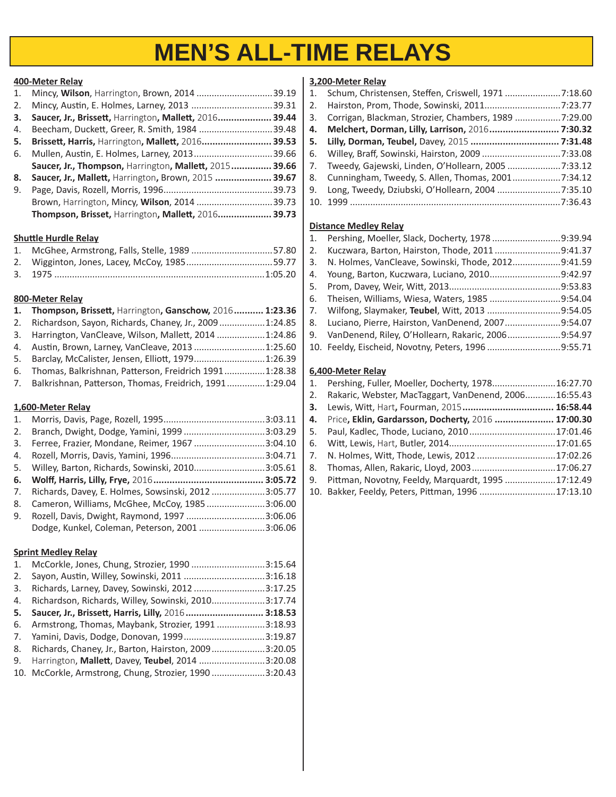# **MEN'S ALL-TIME RELAYS**

#### **400-Meter Relay**

| 1. | Mincy, Wilson, Harrington, Brown, 2014 39.19           |       |
|----|--------------------------------------------------------|-------|
| 2. | Mincy, Austin, E. Holmes, Larney, 2013 39.31           |       |
| 3. | Saucer, Jr., Brissett, Harrington, Mallett, 2016 39.44 |       |
| 4. | Beecham, Duckett, Greer, R. Smith, 1984 39.48          |       |
| 5. | Brissett, Harris, Harrington, Mallett, 2016 39.53      |       |
| 6. | Mullen, Austin, E. Holmes, Larney, 201339.66           |       |
|    | Saucer, Jr., Thompson, Harrington, Mallett, 2015 39.66 |       |
| 8. | Saucer, Jr., Mallett, Harrington, Brown, 2015  39.67   |       |
| 9. |                                                        | 39.73 |
|    | Brown, Harrington, Mincy, Wilson, 2014 39.73           |       |
|    | Thompson, Brisset, Harrington, Mallett, 2016 39.73     |       |
|    |                                                        |       |

## **Shuttle Hurdle Relay**

| 1. McGhee, Armstrong, Falls, Stelle, 1989 57.80 |  |
|-------------------------------------------------|--|
|                                                 |  |
|                                                 |  |

### **800-Meter Relay**

| 1. Thompson, Brissett, Harrington, Ganschow, 2016 1:23.36 |  |
|-----------------------------------------------------------|--|
| 2. Richardson, Sayon, Richards, Chaney, Jr., 20091:24.85  |  |
| 3. Harrington, VanCleave, Wilson, Mallett, 2014 1:24.86   |  |
| 4. Austin, Brown, Larney, VanCleave, 2013 1:25.60         |  |
| 5. Barclay, McCalister, Jensen, Elliott, 19791:26.39      |  |
| 6. Thomas, Balkrishnan, Patterson, Freidrich 19911:28.38  |  |
| 7. Balkrishnan, Patterson, Thomas, Freidrich, 19911:29.04 |  |

#### **1,600-Meter Relay**

| 1.                  |                                                    |  |
|---------------------|----------------------------------------------------|--|
| 2.                  | Branch, Dwight, Dodge, Yamini, 1999 3:03.29        |  |
| 3.                  | Ferree, Frazier, Mondane, Reimer, 1967 3:04.10     |  |
| 4.                  |                                                    |  |
|                     | 5. Willey, Barton, Richards, Sowinski, 20103:05.61 |  |
|                     |                                                    |  |
| 7.                  | Richards, Davey, E. Holmes, Sowsinski, 20123:05.77 |  |
| 8.                  | Cameron, Williams, McGhee, McCoy, 19853:06.00      |  |
| 9.                  | Rozell, Davis, Dwight, Raymond, 1997 3:06.06       |  |
|                     | Dodge, Kunkel, Coleman, Peterson, 2001 3:06.06     |  |
|                     |                                                    |  |
| Carint Modloy Polay |                                                    |  |

#### **Sprint Medley Relay**

|    | 1. McCorkle, Jones, Chung, Strozier, 1990 3:15.64       |  |
|----|---------------------------------------------------------|--|
| 2. | Sayon, Austin, Willey, Sowinski, 2011 3:16.18           |  |
| 3. | Richards, Larney, Davey, Sowinski, 2012 3:17.25         |  |
|    | 4. Richardson, Richards, Willey, Sowinski, 20103:17.74  |  |
|    | 5. Saucer, Jr., Brissett, Harris, Lilly, 2016 3:18.53   |  |
|    | 6. Armstrong, Thomas, Maybank, Strozier, 19913:18.93    |  |
|    | 7. Yamini, Davis, Dodge, Donovan, 19993:19.87           |  |
|    | 8. Richards, Chaney, Jr., Barton, Hairston, 20093:20.05 |  |
|    | 9. Harrington, Mallett, Davey, Teubel, 2014 3:20.08     |  |
|    | 10. McCorkle, Armstrong, Chung, Strozier, 19903:20.43   |  |
|    |                                                         |  |

#### **3,200-Meter Relay**

| 1. Schum, Christensen, Steffen, Criswell, 1971 7:18.60  |  |
|---------------------------------------------------------|--|
|                                                         |  |
| 3. Corrigan, Blackman, Strozier, Chambers, 1989 7:29.00 |  |
| 4. Melchert, Dorman, Lilly, Larrison, 2016 7:30.32      |  |
|                                                         |  |
|                                                         |  |
| 7. Tweedy, Gajewski, Linden, O'Hollearn, 2005 7:33.12   |  |
| 8. Cunningham, Tweedy, S. Allen, Thomas, 20017:34.12    |  |
| 9. Long, Tweedy, Dziubski, O'Hollearn, 2004 7:35.10     |  |
|                                                         |  |

#### **Distance Medley Relay**

|    | 1. Pershing, Moeller, Slack, Docherty, 1978 9:39.94   |  |
|----|-------------------------------------------------------|--|
| 2. | Kuczwara, Barton, Hairston, Thode, 20119:41.37        |  |
|    | 3. N. Holmes, VanCleave, Sowinski, Thode, 20129:41.59 |  |
|    | 4. Young, Barton, Kuczwara, Luciano, 20109:42.97      |  |
|    |                                                       |  |
|    | 6. Theisen, Williams, Wiesa, Waters, 1985 9:54.04     |  |
|    | 7. Wilfong, Slaymaker, Teubel, Witt, 2013 9:54.05     |  |
|    | 8. Luciano, Pierre, Hairston, VanDenend, 20079:54.07  |  |
|    | 9. VanDenend, Riley, O'Hollearn, Rakaric, 20069:54.97 |  |
|    | 10. Feeldy, Eischeid, Novotny, Peters, 1996 9:55.71   |  |

### **6,400-Meter Relay**

|    | 1. Pershing, Fuller, Moeller, Docherty, 197816:27.70     |  |
|----|----------------------------------------------------------|--|
|    | 2. Rakaric, Webster, MacTaggart, VanDenend, 200616:55.43 |  |
| 3. | Lewis, Witt, Hart, Fourman, 2015 16:58.44                |  |
|    | 4. Price, Eklin, Gardarsson, Docherty, 2016  17:00.30    |  |
|    | 5. Paul, Kadlec, Thode, Luciano, 201017:01.46            |  |
|    |                                                          |  |
|    | 7. N. Holmes, Witt, Thode, Lewis, 2012 17:02.26          |  |
|    | 8. Thomas, Allen, Rakaric, Lloyd, 200317:06.27           |  |
|    | 9. Pittman, Novotny, Feeldy, Marquardt, 1995 17:12.49    |  |
|    | 10. Bakker, Feeldy, Peters, Pittman, 1996 17:13.10       |  |